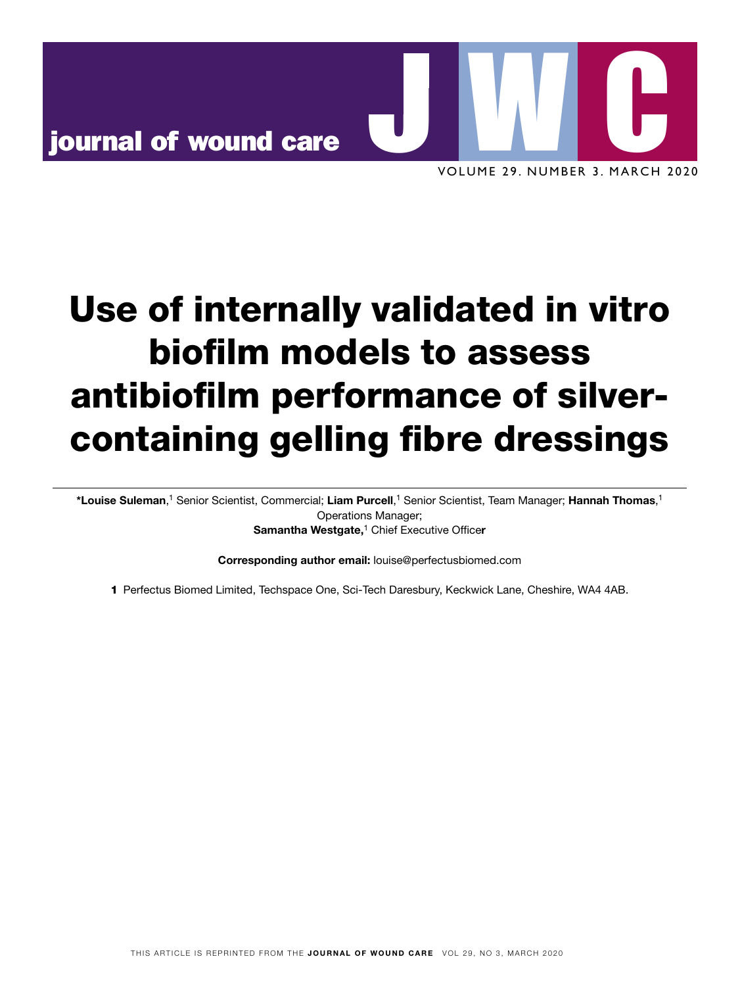

# Use of internally validated in vitro biofilm models to assess antibiofilm performance of silvercontaining gelling fibre dressings

\*Louise Suleman,<sup>1</sup> Senior Scientist, Commercial; Liam Purcell,<sup>1</sup> Senior Scientist, Team Manager; Hannah Thomas,<sup>1</sup> Operations Manager; Samantha Westgate,<sup>1</sup> Chief Executive Officer

Corresponding author email: louise@perfectusbiomed.com

1 Perfectus Biomed Limited, Techspace One, Sci-Tech Daresbury, Keckwick Lane, Cheshire, WA4 4AB.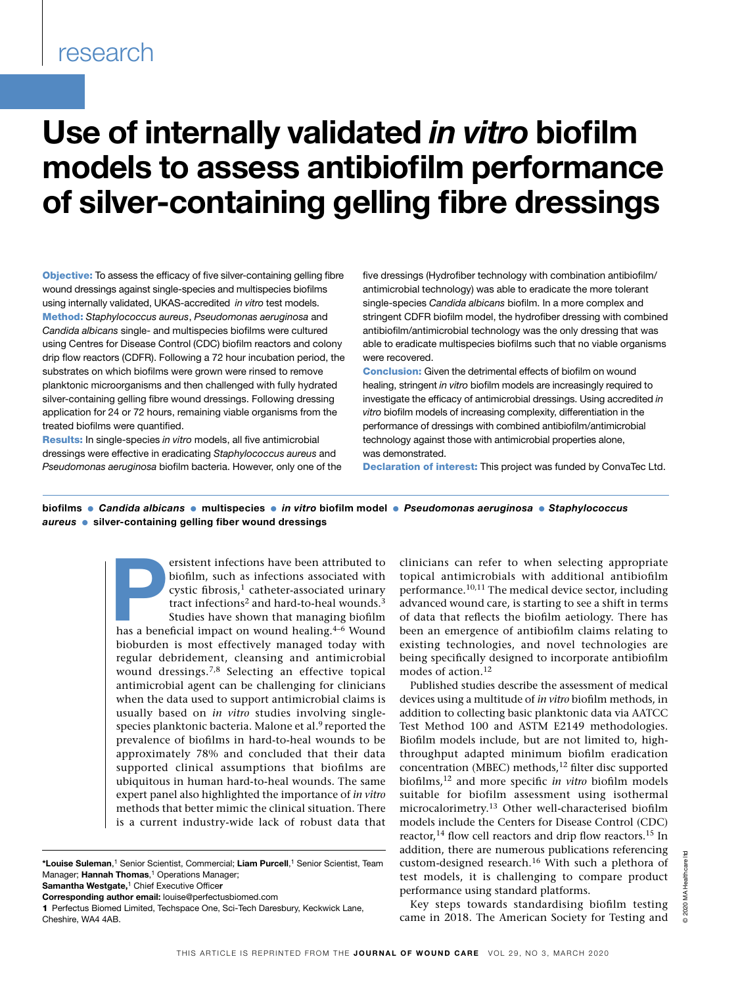## research

## Use of internally validated *in vitro* biofilm models to assess antibiofilm performance of silver-containing gelling fibre dressings

Objective: To assess the efficacy of five silver-containing gelling fibre wound dressings against single-species and multispecies biofilms using internally validated, UKAS-accredited *in vitro* test models. Method: *Staphylococcus aureus*, *Pseudomonas aeruginosa* and *Candida albicans* single- and multispecies biofilms were cultured using Centres for Disease Control (CDC) biofilm reactors and colony drip flow reactors (CDFR). Following a 72 hour incubation period, the substrates on which biofilms were grown were rinsed to remove planktonic microorganisms and then challenged with fully hydrated silver-containing gelling fibre wound dressings. Following dressing application for 24 or 72 hours, remaining viable organisms from the treated biofilms were quantified.

Results: In single-species *in vitro* models, all five antimicrobial dressings were effective in eradicating *Staphylococcus aureus* and *Pseudomonas aeruginosa* biofilm bacteria. However, only one of the five dressings (Hydrofiber technology with combination antibiofilm/ antimicrobial technology) was able to eradicate the more tolerant single-species *Candida albicans* biofilm. In a more complex and stringent CDFR biofilm model, the hydrofiber dressing with combined antibiofilm/antimicrobial technology was the only dressing that was able to eradicate multispecies biofilms such that no viable organisms were recovered.

**Conclusion:** Given the detrimental effects of biofilm on wound healing, stringent *in vitro* biofilm models are increasingly required to investigate the efficacy of antimicrobial dressings. Using accredited *in vitro* biofilm models of increasing complexity, differentiation in the performance of dressings with combined antibiofilm/antimicrobial technology against those with antimicrobial properties alone, was demonstrated.

Declaration of interest: This project was funded by ConvaTec Ltd.

biofilms ● *Candida albicans* ● multispecies ● *in vitro* biofilm model ● *Pseudomonas aeruginosa* ● *Staphylococcus aureus* ● silver-containing gelling fiber wound dressings

> ersistent infections have been attributed to biofilm, such as infections associated with cystic fibrosis,<sup>1</sup> catheter-associated urinary tract infections<sup>2</sup> and hard-to-heal wounds.<sup>3</sup> Studies have shown that managing biof biofilm, such as infections associated with cystic fibrosis,<sup>1</sup> catheter-associated urinary tract infections<sup>2</sup> and hard-to-heal wounds.<sup>3</sup> Studies have shown that managing biofilm bioburden is most effectively managed today with regular debridement, cleansing and antimicrobial wound dressings.7,8 Selecting an effective topical antimicrobial agent can be challenging for clinicians when the data used to support antimicrobial claims is usually based on *in vitro* studies involving singlespecies planktonic bacteria. Malone et al.<sup>9</sup> reported the prevalence of biofilms in hard-to-heal wounds to be approximately 78% and concluded that their data supported clinical assumptions that biofilms are ubiquitous in human hard-to-heal wounds. The same expert panel also highlighted the importance of *in vitro* methods that better mimic the clinical situation. There is a current industry-wide lack of robust data that

Samantha Westgate,<sup>1</sup> Chief Executive Officer

clinicians can refer to when selecting appropriate topical antimicrobials with additional antibiofilm performance.10,11 The medical device sector, including advanced wound care, is starting to see a shift in terms of data that reflects the biofilm aetiology. There has been an emergence of antibiofilm claims relating to existing technologies, and novel technologies are being specifically designed to incorporate antibiofilm modes of action.<sup>12</sup>

Published studies describe the assessment of medical devices using a multitude of *in vitro* biofilm methods, in addition to collecting basic planktonic data via AATCC Test Method 100 and ASTM E2149 methodologies. Biofilm models include, but are not limited to, highthroughput adapted minimum biofilm eradication concentration (MBEC) methods,<sup>12</sup> filter disc supported biofilms,12 and more specific *in vitro* biofilm models suitable for biofilm assessment using isothermal microcalorimetry.13 Other well-characterised biofilm models include the Centers for Disease Control (CDC) reactor,<sup>14</sup> flow cell reactors and drip flow reactors.<sup>15</sup> In addition, there are numerous publications referencing custom-designed research.16 With such a plethora of test models, it is challenging to compare product performance using standard platforms.

Key steps towards standardising biofilm testing came in 2018. The American Society for Testing and

<sup>\*</sup>Louise Suleman, 1 Senior Scientist, Commercial; Liam Purcell, 1 Senior Scientist, Team Manager; Hannah Thomas,<sup>1</sup> Operations Manager;

Corresponding author email: louise@perfectusbiomed.com

<sup>1</sup> Perfectus Biomed Limited, Techspace One, Sci-Tech Daresbury, Keckwick Lane, Cheshire, WA4 4AB.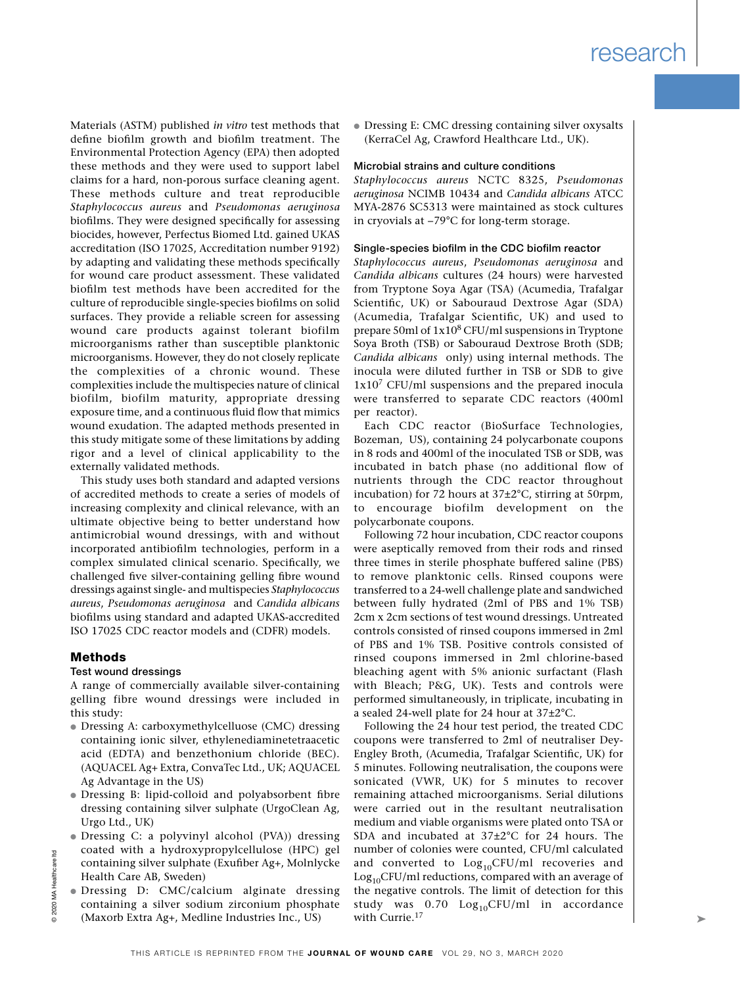Materials (ASTM) published *in vitro* test methods that define biofilm growth and biofilm treatment. The Environmental Protection Agency (EPA) then adopted these methods and they were used to support label claims for a hard, non-porous surface cleaning agent. These methods culture and treat reproducible *Staphylococcus aureus* and *Pseudomonas aeruginosa* biofilms. They were designed specifically for assessing biocides, however, Perfectus Biomed Ltd. gained UKAS accreditation (ISO 17025, Accreditation number 9192) by adapting and validating these methods specifically for wound care product assessment. These validated biofilm test methods have been accredited for the culture of reproducible single-species biofilms on solid surfaces. They provide a reliable screen for assessing wound care products against tolerant biofilm microorganisms rather than susceptible planktonic microorganisms. However, they do not closely replicate the complexities of a chronic wound. These complexities include the multispecies nature of clinical biofilm, biofilm maturity, appropriate dressing exposure time, and a continuous fluid flow that mimics wound exudation. The adapted methods presented in this study mitigate some of these limitations by adding rigor and a level of clinical applicability to the externally validated methods.

This study uses both standard and adapted versions of accredited methods to create a series of models of increasing complexity and clinical relevance, with an ultimate objective being to better understand how antimicrobial wound dressings, with and without incorporated antibiofilm technologies, perform in a complex simulated clinical scenario. Specifically, we challenged five silver-containing gelling fibre wound dressings against single- and multispecies *Staphylococcus aureus*, *Pseudomonas aeruginosa* and *Candida albicans*  biofilms using standard and adapted UKAS-accredited ISO 17025 CDC reactor models and (CDFR) models.

#### Methods

#### Test wound dressings

A range of commercially available silver-containing gelling fibre wound dressings were included in this study:

- Dressing A: carboxymethylcelluose (CMC) dressing containing ionic silver, ethylenediaminetetraacetic acid (EDTA) and benzethonium chloride (BEC). (AQUACEL Ag+ Extra, ConvaTec Ltd., UK; AQUACEL Ag Advantage in the US)
- Dressing B: lipid-colloid and polyabsorbent fibre dressing containing silver sulphate (UrgoClean Ag, Urgo Ltd., UK)
- Dressing C: a polyvinyl alcohol (PVA)) dressing coated with a hydroxypropylcellulose (HPC) gel containing silver sulphate (Exufiber Ag+, Molnlycke Health Care AB, Sweden)
- Dressing D: CMC/calcium alginate dressing containing a silver sodium zirconium phosphate (Maxorb Extra Ag+, Medline Industries Inc., US)

● Dressing E: CMC dressing containing silver oxysalts (KerraCel Ag, Crawford Healthcare Ltd., UK).

#### Microbial strains and culture conditions

*Staphylococcus aureus* NCTC 8325, *Pseudomonas aeruginosa* NCIMB 10434 and *Candida albicans* ATCC MYA-2876 SC5313 were maintained as stock cultures in cryovials at −79°C for long-term storage.

#### Single-species biofilm in the CDC biofilm reactor

*Staphylococcus aureus*, *Pseudomonas aeruginosa* and *Candida albicans* cultures (24 hours) were harvested from Tryptone Soya Agar (TSA) (Acumedia, Trafalgar Scientific, UK) or Sabouraud Dextrose Agar (SDA) (Acumedia, Trafalgar Scientific, UK) and used to prepare 50ml of 1x108 CFU/ml suspensions in Tryptone Soya Broth (TSB) or Sabouraud Dextrose Broth (SDB; *Candida albicans* only) using internal methods. The inocula were diluted further in TSB or SDB to give 1x107 CFU/ml suspensions and the prepared inocula were transferred to separate CDC reactors (400ml per reactor).

Each CDC reactor (BioSurface Technologies, Bozeman, US), containing 24 polycarbonate coupons in 8 rods and 400ml of the inoculated TSB or SDB, was incubated in batch phase (no additional flow of nutrients through the CDC reactor throughout incubation) for 72 hours at 37±2°C, stirring at 50rpm, to encourage biofilm development on the polycarbonate coupons.

Following 72 hour incubation, CDC reactor coupons were aseptically removed from their rods and rinsed three times in sterile phosphate buffered saline (PBS) to remove planktonic cells. Rinsed coupons were transferred to a 24-well challenge plate and sandwiched between fully hydrated (2ml of PBS and 1% TSB) 2cm x 2cm sections of test wound dressings. Untreated controls consisted of rinsed coupons immersed in 2ml of PBS and 1% TSB. Positive controls consisted of rinsed coupons immersed in 2ml chlorine-based bleaching agent with 5% anionic surfactant (Flash with Bleach; P&G, UK). Tests and controls were performed simultaneously, in triplicate, incubating in a sealed 24-well plate for 24 hour at 37±2°C.

Following the 24 hour test period, the treated CDC coupons were transferred to 2ml of neutraliser Dey-Engley Broth, (Acumedia, Trafalgar Scientific, UK) for 5 minutes. Following neutralisation, the coupons were sonicated (VWR, UK) for 5 minutes to recover remaining attached microorganisms. Serial dilutions were carried out in the resultant neutralisation medium and viable organisms were plated onto TSA or SDA and incubated at 37±2°C for 24 hours. The number of colonies were counted, CFU/ml calculated and converted to  $Log_{10}CFU/ml$  recoveries and  $Log<sub>10</sub>CFU/ml$  reductions, compared with an average of the negative controls. The limit of detection for this study was  $0.70 \text{Log}_{10}$ CFU/ml in accordance with Currie.<sup>17</sup>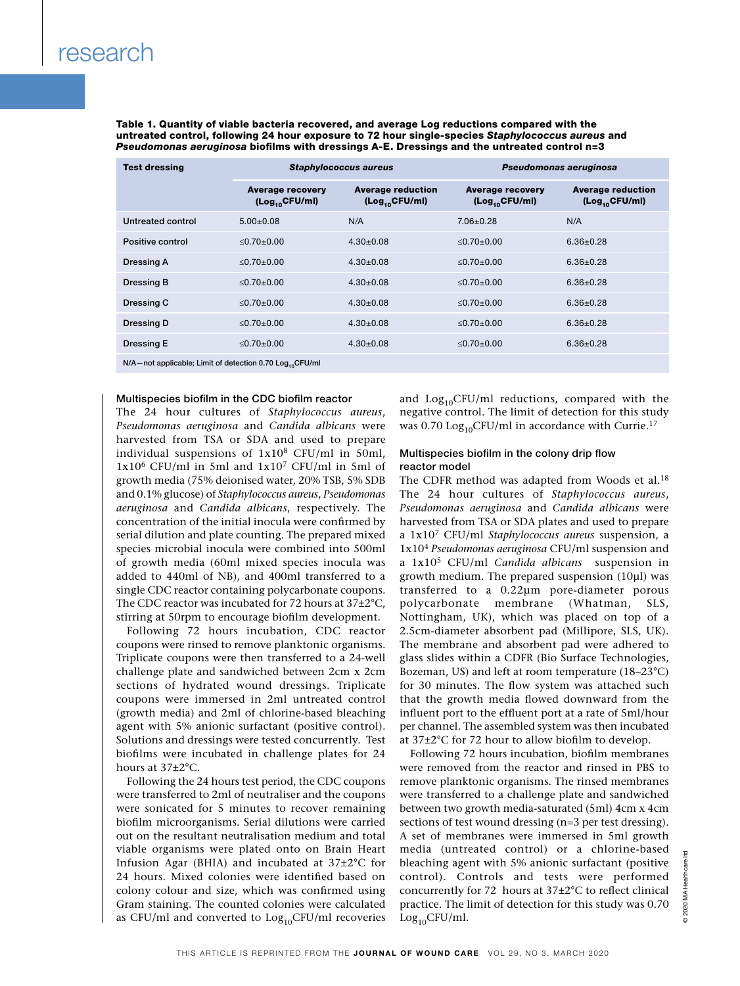Table 1. Quantity of viable bacteria recovered, and average Log reductions compared with the untreated control, following 24 hour exposure to 72 hour single-species *Staphylococcus aureus* and *Pseudomonas aeruginosa* biofilms with dressings A-E. Dressings and the untreated control n=3

| <b>Test dressing</b>                                                 | <b>Staphylococcus aureus</b>                          |                                                        | Pseudomonas aeruginosa                                |                                                        |
|----------------------------------------------------------------------|-------------------------------------------------------|--------------------------------------------------------|-------------------------------------------------------|--------------------------------------------------------|
|                                                                      | <b>Average recovery</b><br>(Log <sub>10</sub> CFU/ml) | <b>Average reduction</b><br>(Log <sub>10</sub> CFU/ml) | <b>Average recovery</b><br>(Log <sub>10</sub> CFU/ml) | <b>Average reduction</b><br>(Log <sub>10</sub> CFU/ml) |
| Untreated control                                                    | $5.00+0.08$                                           | N/A                                                    | $7.06 + 0.28$                                         | N/A                                                    |
| Positive control                                                     | $< 0.70 + 0.00$                                       | $4.30+0.08$                                            | $< 0.70 + 0.00$                                       | $6.36 + 0.28$                                          |
| Dressing A                                                           | $< 0.70 + 0.00$                                       | $4.30 + 0.08$                                          | $< 0.70 + 0.00$                                       | $6.36 + 0.28$                                          |
| <b>Dressing B</b>                                                    | $< 0.70 + 0.00$                                       | $4.30+0.08$                                            | $< 0.70 + 0.00$                                       | $6.36 + 0.28$                                          |
| Dressing C                                                           | $< 0.70 + 0.00$                                       | $4.30+0.08$                                            | $< 0.70 + 0.00$                                       | $6.36 + 0.28$                                          |
| Dressing D                                                           | $< 0.70 + 0.00$                                       | $4.30 \pm 0.08$                                        | $< 0.70 + 0.00$                                       | $6.36 \pm 0.28$                                        |
| <b>Dressing E</b>                                                    | $< 0.70 + 0.00$                                       | $4.30 \pm 0.08$                                        | ≤0.70±0.00                                            | $6.36 \pm 0.28$                                        |
| N/A-not applicable; Limit of detection 0.70 Log <sub>10</sub> CFU/ml |                                                       |                                                        |                                                       |                                                        |

#### Multispecies biofilm in the CDC biofilm reactor

The 24 hour cultures of *Staphylococcus aureus*, *Pseudomonas aeruginosa* and *Candida albicans* were harvested from TSA or SDA and used to prepare individual suspensions of 1x108 CFU/ml in 50ml, 1x106 CFU/ml in 5ml and 1x107 CFU/ml in 5ml of growth media (75% deionised water, 20% TSB, 5% SDB and 0.1% glucose) of *Staphylococcus aureus*, *Pseudomonas aeruginosa* and *Candida albicans*, respectively. The concentration of the initial inocula were confirmed by serial dilution and plate counting. The prepared mixed species microbial inocula were combined into 500ml of growth media (60ml mixed species inocula was added to 440ml of NB), and 400ml transferred to a single CDC reactor containing polycarbonate coupons. The CDC reactor was incubated for 72 hours at 37±2°C, stirring at 50rpm to encourage biofilm development.

Following 72 hours incubation, CDC reactor coupons were rinsed to remove planktonic organisms. Triplicate coupons were then transferred to a 24-well challenge plate and sandwiched between 2cm x 2cm sections of hydrated wound dressings. Triplicate coupons were immersed in 2ml untreated control (growth media) and 2ml of chlorine-based bleaching agent with 5% anionic surfactant (positive control). Solutions and dressings were tested concurrently. Test biofilms were incubated in challenge plates for 24 hours at 37±2°C.

Following the 24 hours test period, the CDC coupons were transferred to 2ml of neutraliser and the coupons were sonicated for 5 minutes to recover remaining biofilm microorganisms. Serial dilutions were carried out on the resultant neutralisation medium and total viable organisms were plated onto on Brain Heart Infusion Agar (BHIA) and incubated at 37±2°C for 24 hours. Mixed colonies were identified based on colony colour and size, which was confirmed using Gram staining. The counted colonies were calculated as CFU/ml and converted to  $Log_{10}$ CFU/ml recoveries

and  $Log<sub>10</sub>CFU/ml$  reductions, compared with the negative control. The limit of detection for this study was  $0.70$  Log<sub>10</sub>CFU/ml in accordance with Currie.<sup>17</sup>

#### Multispecies biofilm in the colony drip flow reactor model

The CDFR method was adapted from Woods et al.<sup>18</sup> The 24 hour cultures of *Staphylococcus aureus*, *Pseudomonas aeruginosa* and *Candida albicans* were harvested from TSA or SDA plates and used to prepare a 1x107 CFU/ml *Staphylococcus aureus* suspension, a 1x104 *Pseudomonas aeruginosa* CFU/ml suspension and a 1x105 CFU/ml *Candida albicans* suspension in growth medium. The prepared suspension (10μl) was transferred to a 0.22µm pore-diameter porous polycarbonate membrane (Whatman, SLS, Nottingham, UK), which was placed on top of a 2.5cm-diameter absorbent pad (Millipore, SLS, UK). The membrane and absorbent pad were adhered to glass slides within a CDFR (Bio Surface Technologies, Bozeman, US) and left at room temperature (18–23°C) for 30 minutes. The flow system was attached such that the growth media flowed downward from the influent port to the effluent port at a rate of 5ml/hour per channel. The assembled system was then incubated at 37±2°C for 72 hour to allow biofilm to develop.

Following 72 hours incubation, biofilm membranes were removed from the reactor and rinsed in PBS to remove planktonic organisms. The rinsed membranes were transferred to a challenge plate and sandwiched between two growth media-saturated (5ml) 4cm x 4cm sections of test wound dressing (n=3 per test dressing). A set of membranes were immersed in 5ml growth media (untreated control) or a chlorine-based bleaching agent with 5% anionic surfactant (positive control). Controls and tests were performed concurrently for 72 hours at 37±2°C to reflect clinical practice. The limit of detection for this study was 0.70  $Log_{10}$ CFU/ml.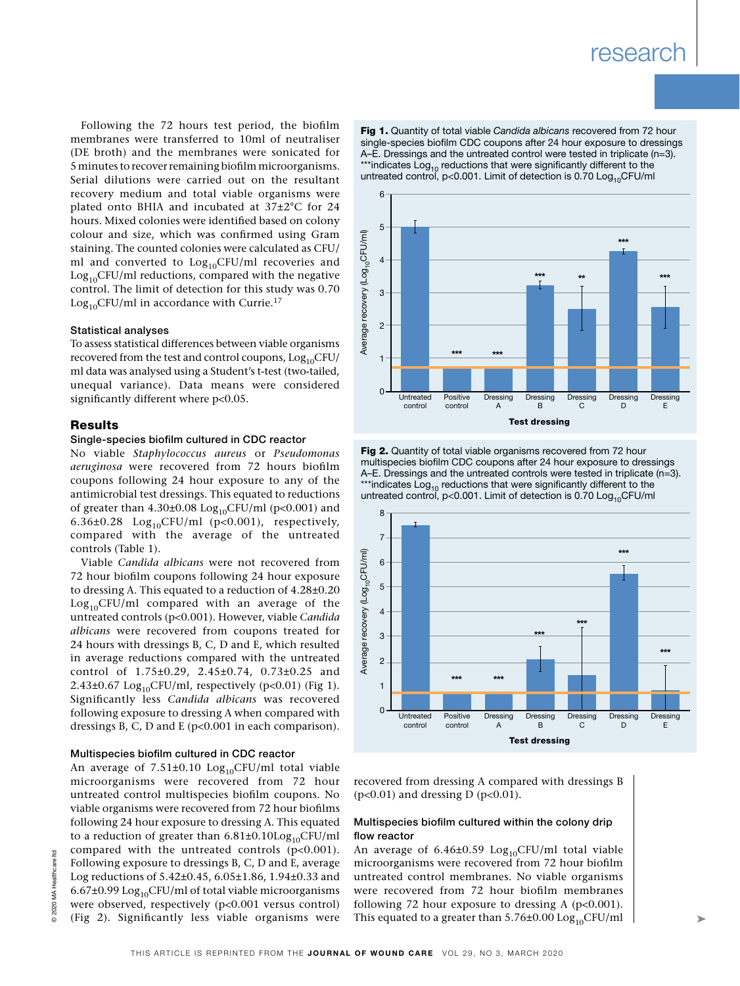Following the 72 hours test period, the biofilm membranes were transferred to 10ml of neutraliser (DE broth) and the membranes were sonicated for 5 minutes to recover remaining biofilm microorganisms. Serial dilutions were carried out on the resultant recovery medium and total viable organisms were plated onto BHIA and incubated at 37±2°C for 24 hours. Mixed colonies were identified based on colony colour and size, which was confirmed using Gram staining. The counted colonies were calculated as CFU/ ml and converted to  $Log<sub>10</sub>CFU/ml$  recoveries and  $Log<sub>10</sub>CFU/ml$  reductions, compared with the negative control. The limit of detection for this study was 0.70  $Log<sub>10</sub>CFU/ml$  in accordance with Currie.<sup>17</sup>

#### Statistical analyses

To assess statistical differences between viable organisms recovered from the test and control coupons,  $Log_{10}CFU/$ ml data was analysed using a Student's t-test (two-tailed, unequal variance). Data means were considered significantly different where p<0.05.

#### **Results**

#### Single-species biofilm cultured in CDC reactor

No viable *Staphylococcus aureus* or *Pseudomonas aeruginosa* were recovered from 72 hours biofilm coupons following 24 hour exposure to any of the antimicrobial test dressings. This equated to reductions of greater than  $4.30\pm0.08$  Log<sub>10</sub>CFU/ml (p<0.001) and 6.36 $\pm$ 0.28 Log<sub>10</sub>CFU/ml (p<0.001), respectively, compared with the average of the untreated controls (Table 1).

Viable *Candida albicans* were not recovered from 72 hour biofilm coupons following 24 hour exposure to dressing A. This equated to a reduction of 4.28±0.20  $Log<sub>10</sub>CFU/ml$  compared with an average of the untreated controls (p<0.001). However, viable *Candida albicans* were recovered from coupons treated for 24 hours with dressings B, C, D and E, which resulted in average reductions compared with the untreated control of 1.75±0.29, 2.45±0.74, 0.73±0.25 and 2.43±0.67  $Log_{10}$ CFU/ml, respectively (p<0.01) (Fig 1). Significantly less *Candida albicans* was recovered following exposure to dressing A when compared with dressings B, C, D and E (p<0.001 in each comparison).

#### Multispecies biofilm cultured in CDC reactor

An average of  $7.51\pm0.10$  Log<sub>10</sub>CFU/ml total viable microorganisms were recovered from 72 hour untreated control multispecies biofilm coupons. No viable organisms were recovered from 72 hour biofilms following 24 hour exposure to dressing A. This equated to a reduction of greater than  $6.81\pm0.10\text{Log}_{10}$ CFU/ml compared with the untreated controls (p<0.001). Following exposure to dressings B, C, D and E, average Log reductions of 5.42±0.45, 6.05±1.86, 1.94±0.33 and 6.67±0.99  $Log_{10}$ CFU/ml of total viable microorganisms were observed, respectively (p<0.001 versus control) (Fig 2). Significantly less viable organisms were

Fig 1. Quantity of total viable *Candida albicans* recovered from 72 hour single-species biofilm CDC coupons after 24 hour exposure to dressings A–E. Dressings and the untreated control were tested in triplicate (n=3). \*\*\*indicates  $Log_{10}$  reductions that were significantly different to the untreated control,  $p<0.001$ . Limit of detection is 0.70 Log<sub>10</sub>CFU/ml



**Fig 2.** Quantity of total viable organisms recovered from 72 hour multispecies biofilm CDC coupons after 24 hour exposure to dressings A–E. Dressings and the untreated controls were tested in triplicate (n=3). \*\*\*indicates  $\text{Log}_{10}$  reductions that were significantly different to the untreated control,  $p<0.001$ . Limit of detection is 0.70 Log<sub>10</sub>CFU/ml



recovered from dressing A compared with dressings B  $(p<0.01)$  and dressing D  $(p<0.01)$ .

#### Multispecies biofilm cultured within the colony drip flow reactor

An average of  $6.46\pm0.59$  Log<sub>10</sub>CFU/ml total viable microorganisms were recovered from 72 hour biofilm untreated control membranes. No viable organisms were recovered from 72 hour biofilm membranes following 72 hour exposure to dressing A  $(p<0.001)$ . This equated to a greater than  $5.76\pm0.00$  Log<sub>10</sub>CFU/ml

 $\mathbf{r}$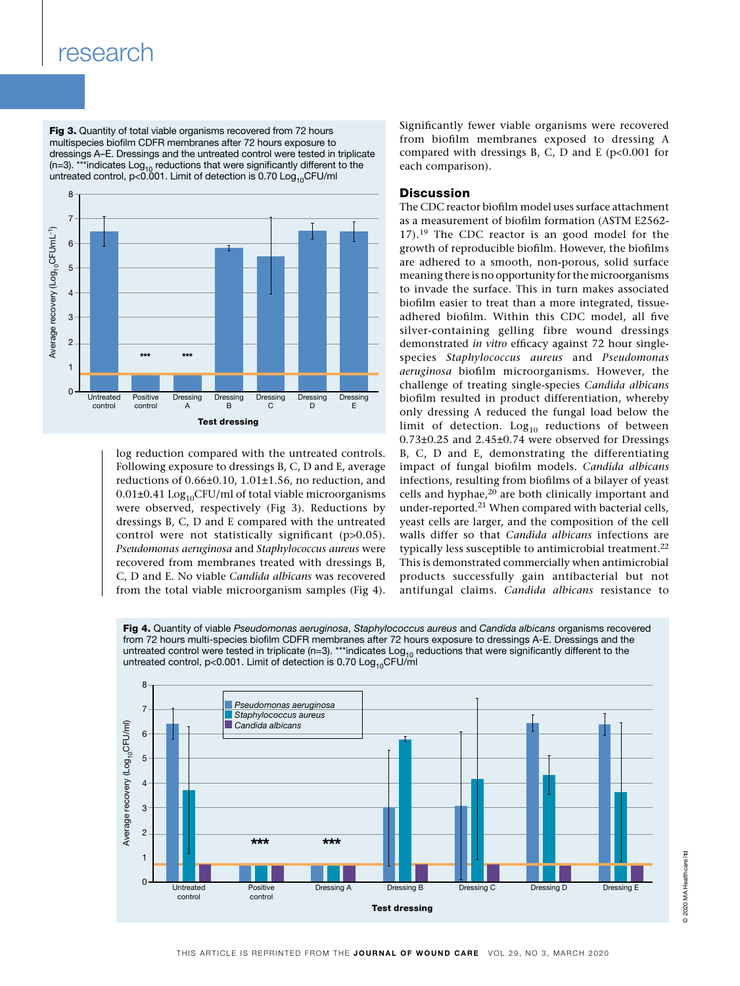## research

Fig 3. Quantity of total viable organisms recovered from 72 hours multispecies biofilm CDFR membranes after 72 hours exposure to dressings A–E. Dressings and the untreated control were tested in triplicate (n=3). \*\*\*indicates  $Log_{10}$  reductions that were significantly different to the untreated control, p<0.001. Limit of detection is 0.70  ${\sf Log}_{10}$ CFU/ml



log reduction compared with the untreated controls. Following exposure to dressings B, C, D and E, average reductions of 0.66±0.10, 1.01±1.56, no reduction, and  $0.01\pm0.41$  Log<sub>10</sub>CFU/ml of total viable microorganisms were observed, respectively (Fig 3). Reductions by dressings B, C, D and E compared with the untreated control were not statistically significant (p>0.05). *Pseudomonas aeruginosa* and *Staphylococcus aureus* were recovered from membranes treated with dressings B, C, D and E. No viable *Candida albicans* was recovered from the total viable microorganism samples (Fig 4). Significantly fewer viable organisms were recovered from biofilm membranes exposed to dressing A compared with dressings B, C, D and E ( $p<0.001$  for each comparison).

#### **Discussion**

The CDC reactor biofilm model uses surface attachment as a measurement of biofilm formation (ASTM E2562- 17).19 The CDC reactor is an good model for the growth of reproducible biofilm. However, the biofilms are adhered to a smooth, non-porous, solid surface meaning there is no opportunity for the microorganisms to invade the surface. This in turn makes associated biofilm easier to treat than a more integrated, tissueadhered biofilm. Within this CDC model, all five silver-containing gelling fibre wound dressings demonstrated *in vitro* efficacy against 72 hour singlespecies *Staphylococcus aureus* and *Pseudomonas aeruginosa* biofilm microorganisms. However, the challenge of treating single-species *Candida albicans* biofilm resulted in product differentiation, whereby only dressing A reduced the fungal load below the limit of detection.  $Log_{10}$  reductions of between 0.73±0.25 and 2.45±0.74 were observed for Dressings B, C, D and E, demonstrating the differentiating impact of fungal biofilm models. *Candida albicans* infections, resulting from biofilms of a bilayer of yeast cells and hyphae,20 are both clinically important and under-reported.21 When compared with bacterial cells, yeast cells are larger, and the composition of the cell walls differ so that *Candida albicans* infections are typically less susceptible to antimicrobial treatment.<sup>22</sup> This is demonstrated commercially when antimicrobial products successfully gain antibacterial but not antifungal claims. *Candida albicans* resistance to

Fig 4. Quantity of viable *Pseudomonas aeruginosa*, *Staphylococcus aureus* and *Candida albicans* organisms recovered from 72 hours multi-species biofilm CDFR membranes after 72 hours exposure to dressings A-E. Dressings and the untreated control were tested in triplicate (n=3). \*\*\*indicates  $Log_{10}$  reductions that were significantly different to the untreated control,  $p<0.001$ . Limit of detection is 0.70 Log<sub>10</sub>CFU/ml

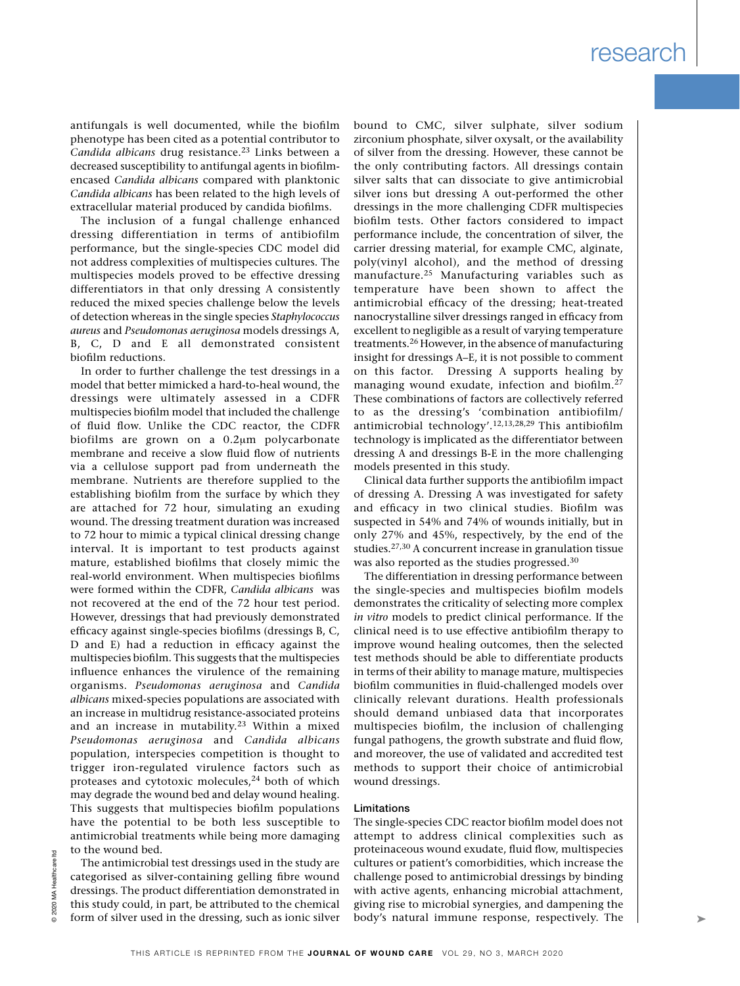antifungals is well documented, while the biofilm phenotype has been cited as a potential contributor to *Candida albicans* drug resistance.23 Links between a decreased susceptibility to antifungal agents in biofilmencased *Candida albicans* compared with planktonic *Candida albicans* has been related to the high levels of extracellular material produced by candida biofilms.

The inclusion of a fungal challenge enhanced dressing differentiation in terms of antibiofilm performance, but the single-species CDC model did not address complexities of multispecies cultures. The multispecies models proved to be effective dressing differentiators in that only dressing A consistently reduced the mixed species challenge below the levels of detection whereas in the single species *Staphylococcus aureus* and *Pseudomonas aeruginosa* models dressings A, B, C, D and E all demonstrated consistent biofilm reductions.

In order to further challenge the test dressings in a model that better mimicked a hard-to-heal wound, the dressings were ultimately assessed in a CDFR multispecies biofilm model that included the challenge of fluid flow. Unlike the CDC reactor, the CDFR biofilms are grown on a 0.2um polycarbonate membrane and receive a slow fluid flow of nutrients via a cellulose support pad from underneath the membrane. Nutrients are therefore supplied to the establishing biofilm from the surface by which they are attached for 72 hour, simulating an exuding wound. The dressing treatment duration was increased to 72 hour to mimic a typical clinical dressing change interval. It is important to test products against mature, established biofilms that closely mimic the real-world environment. When multispecies biofilms were formed within the CDFR, *Candida albicans* was not recovered at the end of the 72 hour test period. However, dressings that had previously demonstrated efficacy against single-species biofilms (dressings B, C, D and E) had a reduction in efficacy against the multispecies biofilm. This suggests that the multispecies influence enhances the virulence of the remaining organisms. *Pseudomonas aeruginosa* and *Candida albicans* mixed-species populations are associated with an increase in multidrug resistance-associated proteins and an increase in mutability.23 Within a mixed *Pseudomonas aeruginosa* and *Candida albicans* population, interspecies competition is thought to trigger iron-regulated virulence factors such as proteases and cytotoxic molecules,<sup>24</sup> both of which may degrade the wound bed and delay wound healing. This suggests that multispecies biofilm populations have the potential to be both less susceptible to antimicrobial treatments while being more damaging to the wound bed.

The antimicrobial test dressings used in the study are categorised as silver-containing gelling fibre wound dressings. The product differentiation demonstrated in this study could, in part, be attributed to the chemical form of silver used in the dressing, such as ionic silver

bound to CMC, silver sulphate, silver sodium zirconium phosphate, silver oxysalt, or the availability of silver from the dressing. However, these cannot be the only contributing factors. All dressings contain silver salts that can dissociate to give antimicrobial silver ions but dressing A out-performed the other dressings in the more challenging CDFR multispecies biofilm tests. Other factors considered to impact performance include, the concentration of silver, the carrier dressing material, for example CMC, alginate, poly(vinyl alcohol), and the method of dressing manufacture.<sup>25</sup> Manufacturing variables such as temperature have been shown to affect the antimicrobial efficacy of the dressing; heat-treated nanocrystalline silver dressings ranged in efficacy from excellent to negligible as a result of varying temperature treatments.26 However, in the absence of manufacturing insight for dressings A–E, it is not possible to comment on this factor. Dressing A supports healing by managing wound exudate, infection and biofilm.27 These combinations of factors are collectively referred to as the dressing's 'combination antibiofilm/ antimicrobial technology'.12,13,28,29 This antibiofilm technology is implicated as the differentiator between dressing A and dressings B-E in the more challenging models presented in this study.

Clinical data further supports the antibiofilm impact of dressing A. Dressing A was investigated for safety and efficacy in two clinical studies. Biofilm was suspected in 54% and 74% of wounds initially, but in only 27% and 45%, respectively, by the end of the studies.27,30 A concurrent increase in granulation tissue was also reported as the studies progressed.<sup>30</sup>

The differentiation in dressing performance between the single-species and multispecies biofilm models demonstrates the criticality of selecting more complex *in vitro* models to predict clinical performance. If the clinical need is to use effective antibiofilm therapy to improve wound healing outcomes, then the selected test methods should be able to differentiate products in terms of their ability to manage mature, multispecies biofilm communities in fluid-challenged models over clinically relevant durations. Health professionals should demand unbiased data that incorporates multispecies biofilm, the inclusion of challenging fungal pathogens, the growth substrate and fluid flow, and moreover, the use of validated and accredited test methods to support their choice of antimicrobial wound dressings.

#### Limitations

The single-species CDC reactor biofilm model does not attempt to address clinical complexities such as proteinaceous wound exudate, fluid flow, multispecies cultures or patient's comorbidities, which increase the challenge posed to antimicrobial dressings by binding with active agents, enhancing microbial attachment, giving rise to microbial synergies, and dampening the body's natural immune response, respectively. The